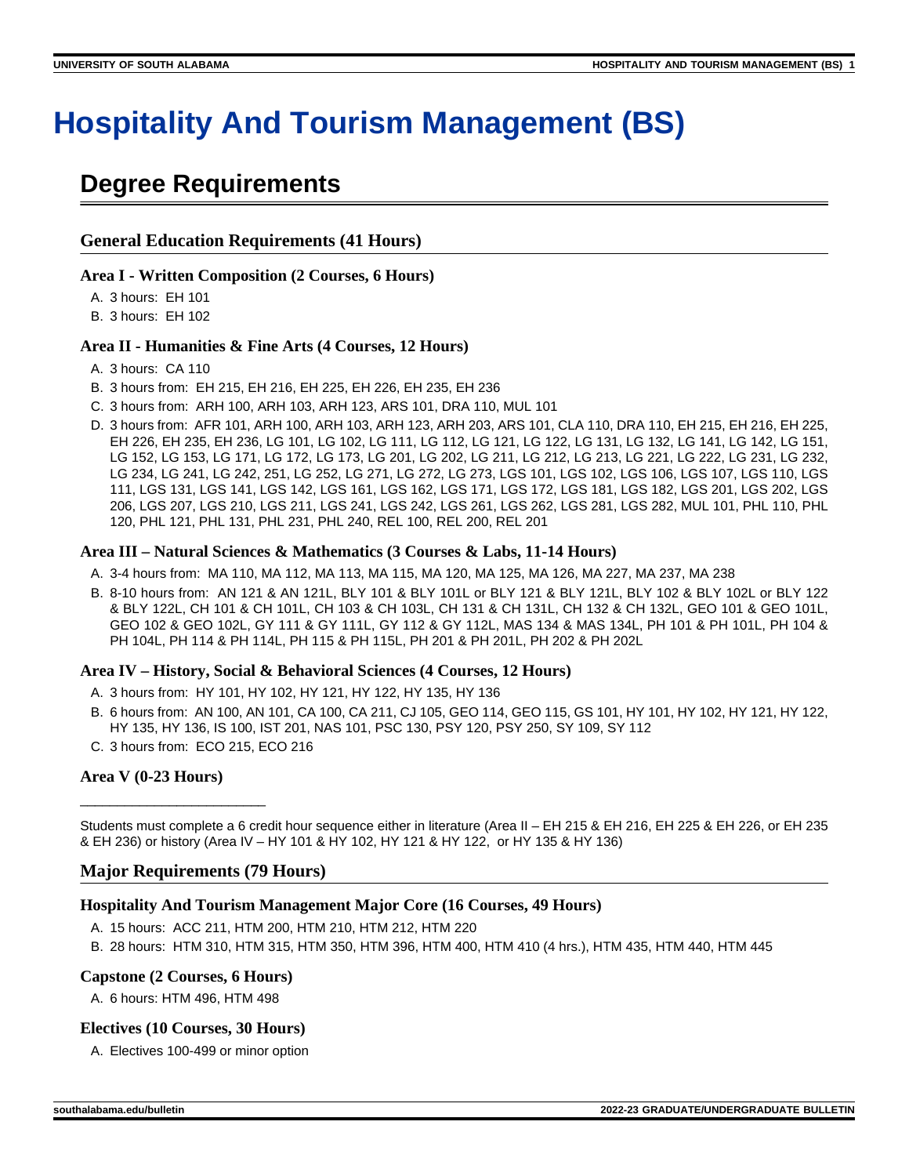# **Hospitality And Tourism Management (BS)**

## **Degree Requirements**

## **General Education Requirements (41 Hours)**

#### **Area I - Written Composition (2 Courses, 6 Hours)**

A. 3 hours: EH 101

B. 3 hours: EH 102

## **Area II - Humanities & Fine Arts (4 Courses, 12 Hours)**

- A. 3 hours: CA 110
- B. 3 hours from: EH 215, EH 216, EH 225, EH 226, EH 235, EH 236
- C. 3 hours from: ARH 100, ARH 103, ARH 123, ARS 101, DRA 110, MUL 101
- D. 3 hours from: AFR 101, ARH 100, ARH 103, ARH 123, ARH 203, ARS 101, CLA 110, DRA 110, EH 215, EH 216, EH 225, EH 226, EH 235, EH 236, LG 101, LG 102, LG 111, LG 112, LG 121, LG 122, LG 131, LG 132, LG 141, LG 142, LG 151, LG 152, LG 153, LG 171, LG 172, LG 173, LG 201, LG 202, LG 211, LG 212, LG 213, LG 221, LG 222, LG 231, LG 232, LG 234, LG 241, LG 242, 251, LG 252, LG 271, LG 272, LG 273, LGS 101, LGS 102, LGS 106, LGS 107, LGS 110, LGS 111, LGS 131, LGS 141, LGS 142, LGS 161, LGS 162, LGS 171, LGS 172, LGS 181, LGS 182, LGS 201, LGS 202, LGS 206, LGS 207, LGS 210, LGS 211, LGS 241, LGS 242, LGS 261, LGS 262, LGS 281, LGS 282, MUL 101, PHL 110, PHL 120, PHL 121, PHL 131, PHL 231, PHL 240, REL 100, REL 200, REL 201

#### **Area III – Natural Sciences & Mathematics (3 Courses & Labs, 11-14 Hours)**

- A. 3-4 hours from: MA 110, MA 112, MA 113, MA 115, MA 120, MA 125, MA 126, MA 227, MA 237, MA 238
- B. 8-10 hours from: AN 121 & AN 121L, BLY 101 & BLY 101L or BLY 121 & BLY 121L, BLY 102 & BLY 102L or BLY 122 & BLY 122L, CH 101 & CH 101L, CH 103 & CH 103L, CH 131 & CH 131L, CH 132 & CH 132L, GEO 101 & GEO 101L, GEO 102 & GEO 102L, GY 111 & GY 111L, GY 112 & GY 112L, MAS 134 & MAS 134L, PH 101 & PH 101L, PH 104 & PH 104L, PH 114 & PH 114L, PH 115 & PH 115L, PH 201 & PH 201L, PH 202 & PH 202L

## **Area IV – History, Social & Behavioral Sciences (4 Courses, 12 Hours)**

- A. 3 hours from: HY 101, HY 102, HY 121, HY 122, HY 135, HY 136
- B. 6 hours from: AN 100, AN 101, CA 100, CA 211, CJ 105, GEO 114, GEO 115, GS 101, HY 101, HY 102, HY 121, HY 122, HY 135, HY 136, IS 100, IST 201, NAS 101, PSC 130, PSY 120, PSY 250, SY 109, SY 112
- C. 3 hours from: ECO 215, ECO 216

## **Area V (0-23 Hours)**

\_\_\_\_\_\_\_\_\_\_\_\_\_\_\_\_\_\_\_\_\_\_\_\_\_

Students must complete a 6 credit hour sequence either in literature (Area II – EH 215 & EH 216, EH 225 & EH 226, or EH 235 & EH 236) or history (Area IV – HY 101 & HY 102, HY 121 & HY 122, or HY 135 & HY 136)

## **Major Requirements (79 Hours)**

## **Hospitality And Tourism Management Major Core (16 Courses, 49 Hours)**

- A. 15 hours: ACC 211, HTM 200, HTM 210, HTM 212, HTM 220
- B. 28 hours: HTM 310, HTM 315, HTM 350, HTM 396, HTM 400, HTM 410 (4 hrs.), HTM 435, HTM 440, HTM 445

## **Capstone (2 Courses, 6 Hours)**

A. 6 hours: HTM 496, HTM 498

## **Electives (10 Courses, 30 Hours)**

A. Electives 100-499 or minor option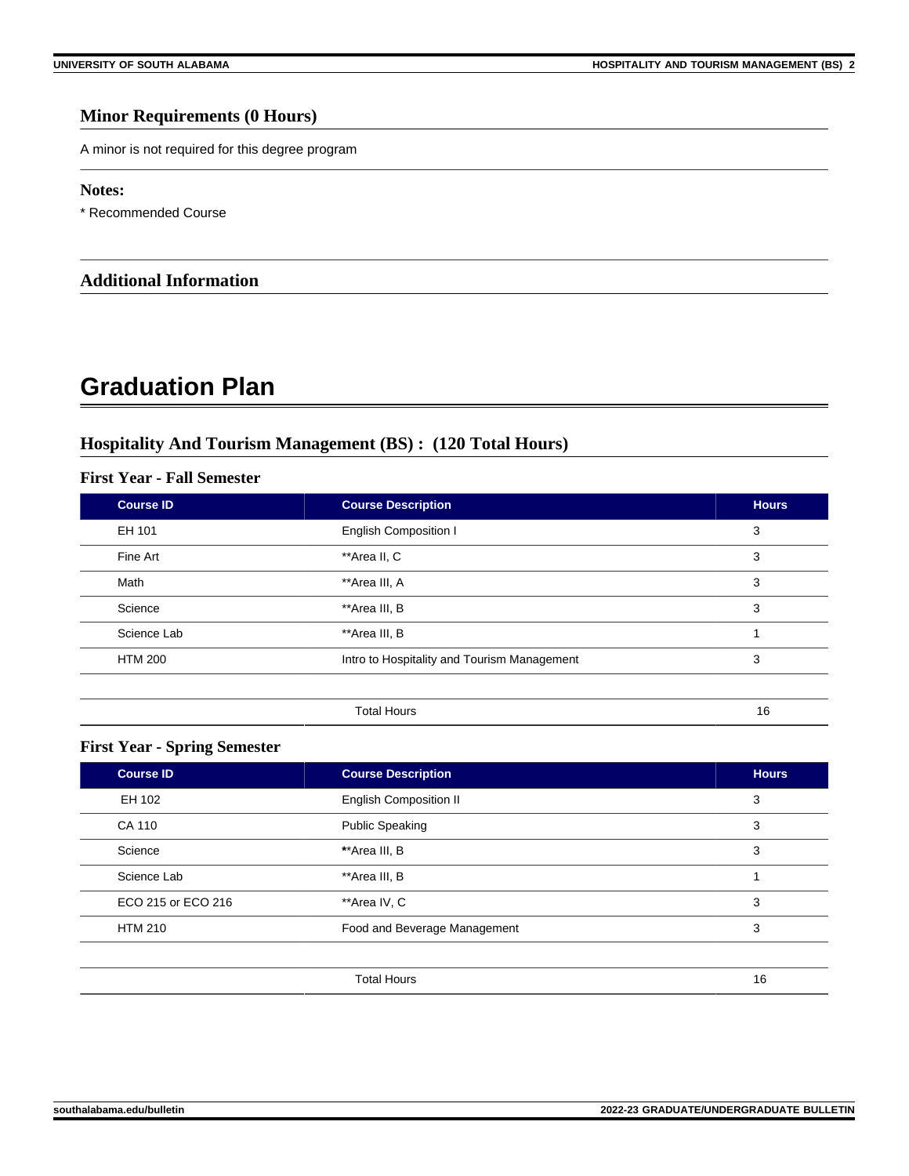## **Minor Requirements (0 Hours)**

A minor is not required for this degree program

#### **Notes:**

\* Recommended Course

## **Additional Information**

## **Graduation Plan**

## **Hospitality And Tourism Management (BS) : (120 Total Hours)**

## **First Year - Fall Semester**

| <b>Course ID</b> | <b>Course Description</b>                   | <b>Hours</b> |
|------------------|---------------------------------------------|--------------|
| EH 101           | <b>English Composition I</b>                | 3            |
| Fine Art         | **Area II, C                                | 3            |
| Math             | **Area III, A                               | 3            |
| Science          | **Area III, B                               | 3            |
| Science Lab      | **Area III, B                               |              |
| <b>HTM 200</b>   | Intro to Hospitality and Tourism Management | 3            |
|                  |                                             |              |
|                  | <b>Total Hours</b>                          | 16           |

## **First Year - Spring Semester**

| <b>Course ID</b>   | <b>Course Description</b>     | <b>Hours</b> |
|--------------------|-------------------------------|--------------|
| EH 102             | <b>English Composition II</b> | 3            |
| CA 110             | <b>Public Speaking</b>        | 3            |
| Science            | **Area III, B                 | 3            |
| Science Lab        | **Area III, B                 |              |
| ECO 215 or ECO 216 | **Area IV, C                  | 3            |
| <b>HTM 210</b>     | Food and Beverage Management  | 3            |
|                    |                               |              |
|                    | <b>Total Hours</b>            | 16           |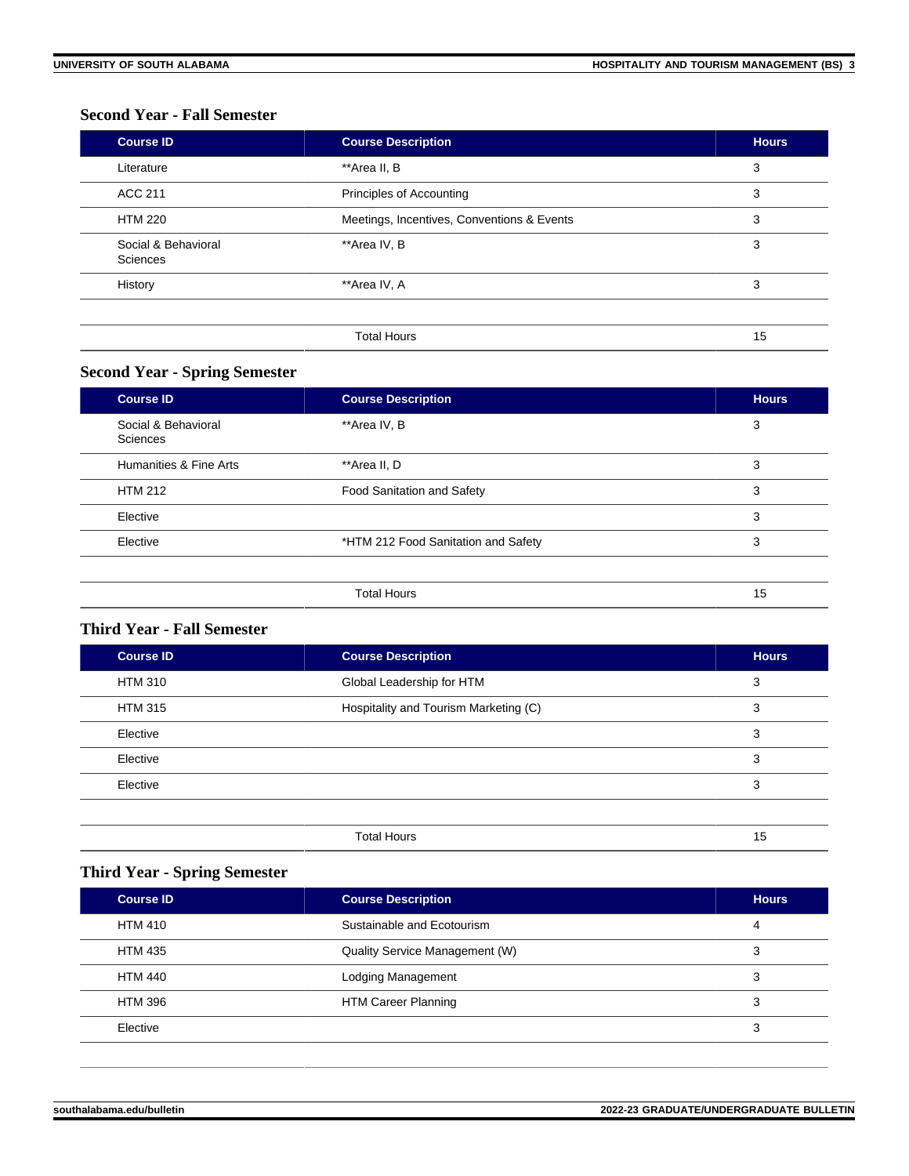## **Second Year - Fall Semester**

| <b>Course ID</b>                | <b>Course Description</b>                  | <b>Hours</b> |
|---------------------------------|--------------------------------------------|--------------|
| Literature                      | **Area II, B                               | 3            |
| ACC 211                         | Principles of Accounting                   | 3            |
| <b>HTM 220</b>                  | Meetings, Incentives, Conventions & Events | 3            |
| Social & Behavioral<br>Sciences | **Area IV, B                               | 3            |
| History                         | **Area IV, A                               | 3            |
|                                 |                                            |              |
|                                 | <b>Total Hours</b>                         | 15           |

## **Second Year - Spring Semester**

| <b>Course ID</b>                | <b>Course Description</b>           | <b>Hours</b> |
|---------------------------------|-------------------------------------|--------------|
| Social & Behavioral<br>Sciences | **Area IV, B                        | 3            |
| Humanities & Fine Arts          | **Area II, D                        | 3            |
| <b>HTM 212</b>                  | <b>Food Sanitation and Safety</b>   | 3            |
| Elective                        |                                     | 3            |
| Elective                        | *HTM 212 Food Sanitation and Safety | 3            |
|                                 |                                     |              |
|                                 | <b>Total Hours</b>                  | 15           |

## **Third Year - Fall Semester**

| <b>Course ID</b> | <b>Course Description</b>             | <b>Hours</b> |
|------------------|---------------------------------------|--------------|
| <b>HTM 310</b>   | Global Leadership for HTM             | 3            |
| <b>HTM 315</b>   | Hospitality and Tourism Marketing (C) | 3            |
| Elective         |                                       | 3            |
| Elective         |                                       | 3            |
| Elective         |                                       | 3            |
|                  |                                       |              |
|                  | <b>Total Hours</b>                    | 15           |

## **Third Year - Spring Semester**

| <b>Course ID</b> | <b>Course Description</b>      | <b>Hours</b> |
|------------------|--------------------------------|--------------|
| <b>HTM 410</b>   | Sustainable and Ecotourism     | 4            |
| <b>HTM 435</b>   | Quality Service Management (W) | 3            |
| HTM 440          | Lodging Management             | 3            |
| HTM 396          | <b>HTM Career Planning</b>     | 3            |
| Elective         |                                | 3            |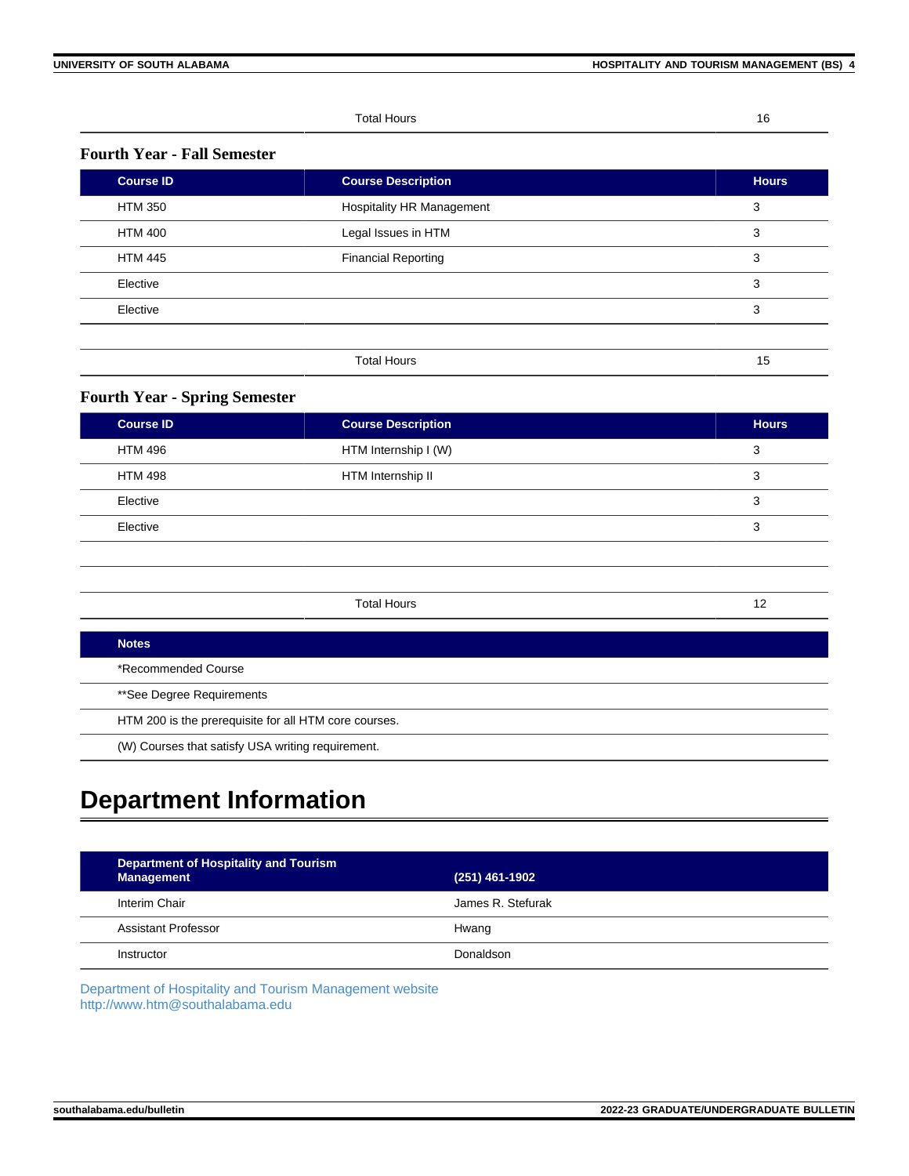Total Hours 16

## **Fourth Year - Fall Semester**

| <b>Course ID</b> | <b>Course Description</b>        | <b>Hours</b> |
|------------------|----------------------------------|--------------|
| <b>HTM 350</b>   | <b>Hospitality HR Management</b> | 3            |
| <b>HTM 400</b>   | Legal Issues in HTM              | 3            |
| <b>HTM 445</b>   | <b>Financial Reporting</b>       | 3            |
| Elective         |                                  | 3            |
| Elective         |                                  | 3            |
|                  |                                  |              |
|                  | <b>Total Hours</b>               | 15           |

## **Fourth Year - Spring Semester**

| <b>Course ID</b> | <b>Course Description</b> | <b>Hours</b> |
|------------------|---------------------------|--------------|
| <b>HTM 496</b>   | HTM Internship I (W)      | 3            |
| <b>HTM 498</b>   | HTM Internship II         | 3            |
| Elective         |                           | 3            |
| Elective         |                           | 3            |
|                  |                           |              |
|                  |                           |              |
|                  | <b>Total Hours</b>        | 12           |
|                  |                           |              |

| Notes                                                 |
|-------------------------------------------------------|
| *Recommended Course                                   |
| **See Degree Requirements                             |
| HTM 200 is the prerequisite for all HTM core courses. |
| (W) Courses that satisfy USA writing requirement.     |

## **Department Information**

| Department of Hospitality and Tourism<br><b>Management</b> | $(251)$ 461-1902  |
|------------------------------------------------------------|-------------------|
| Interim Chair                                              | James R. Stefurak |
| Assistant Professor                                        | Hwang             |
| Instructor                                                 | Donaldson         |

[Department of Hospitality and Tourism Management website](https://www.southalabama.edu/colleges/ceps/htm) [http://www.htm@southalabama.edu](https://www.southalabama.edu/colleges/ceps/htm)